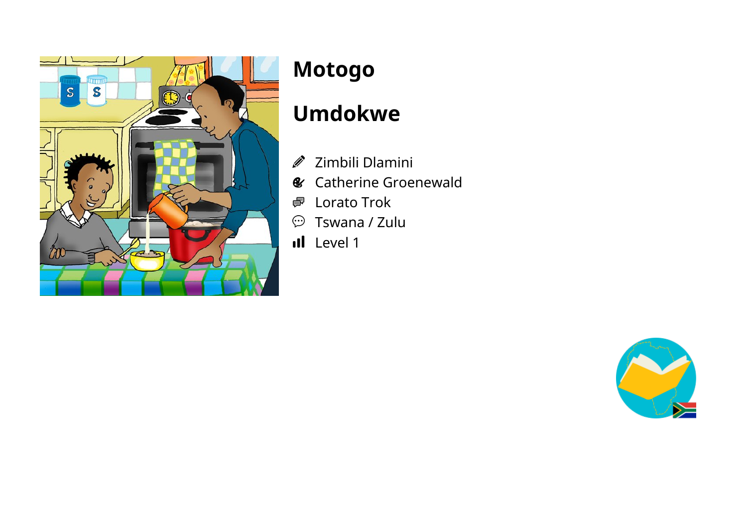

# **Motogo**

# **Umdokwe**

- Zimbili Dlamini J)
- Catherine Groenewald  $\mathcal{C}$
- Lorato Trok 粵
- $\mathcal{D}$  Tswana / Zulu
- Il Level 1

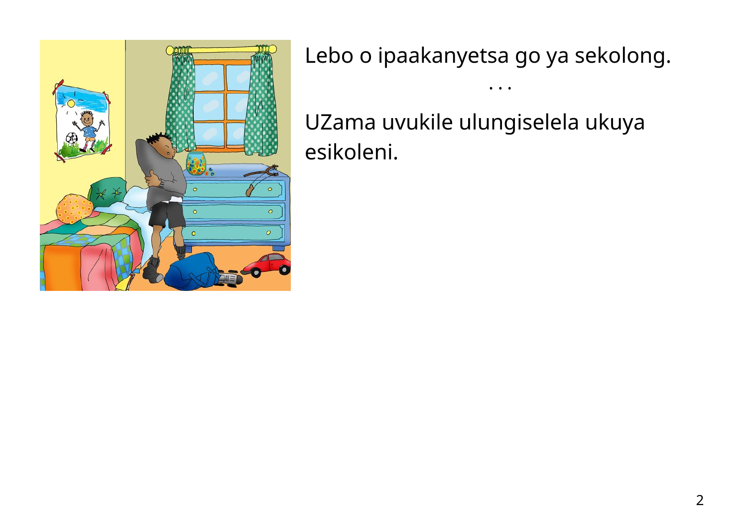

Lebo o ipaakanyetsa go ya sekolong.

• • •

UZama uvukile ulungiselela ukuya esikoleni.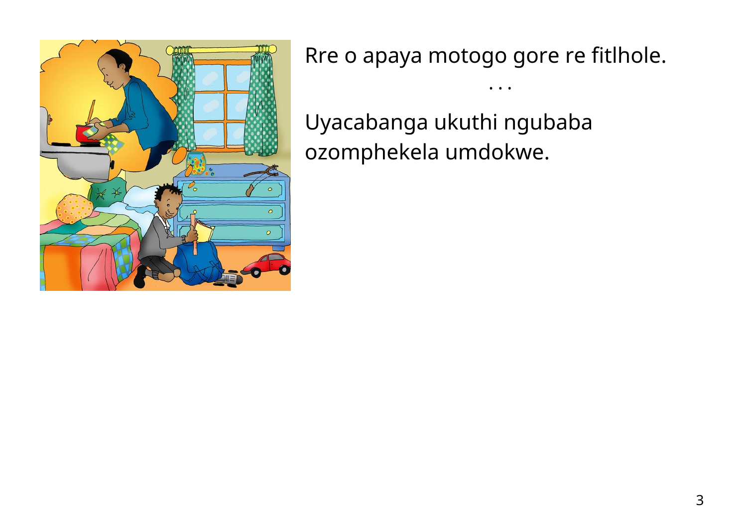

Rre o apaya motogo gore re fitlhole.

Uyacabanga ukuthi ngubaba ozomphekela umdokwe.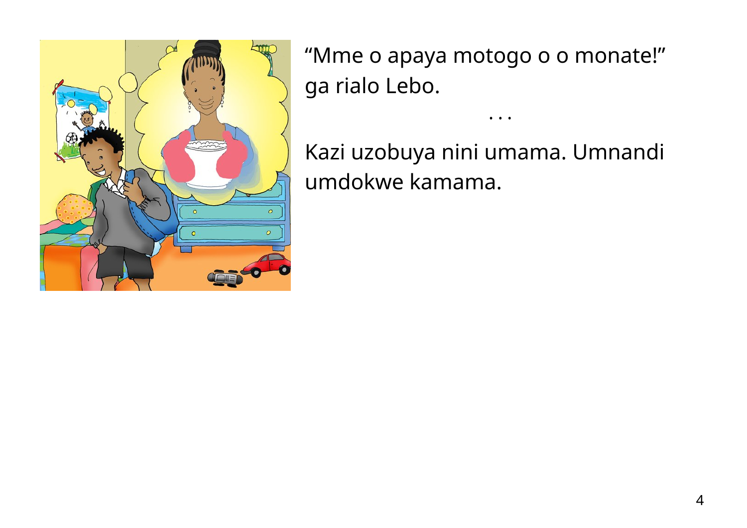

"Mme o apaya motogo o o monate!" ga rialo Lebo.

Kazi uzobuya nini umama. Umnandi umdokwe kamama.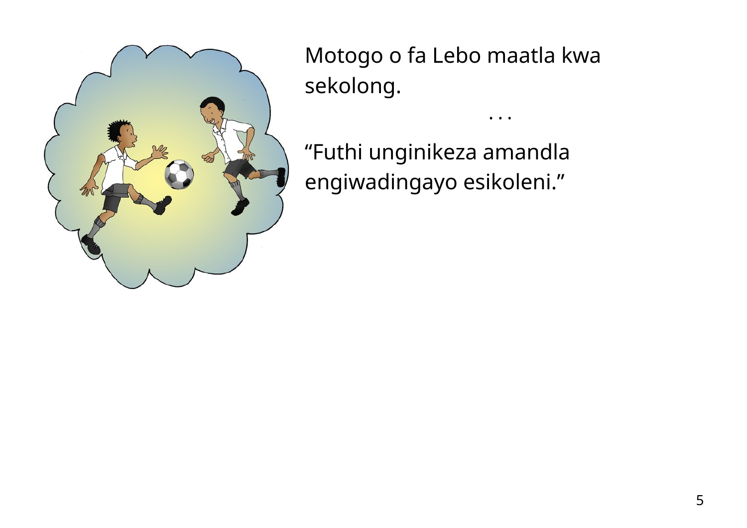

Motogo o fa Lebo maatla kwa sekolong.

• • •

"Futhi unginikeza amandla engiwadingayo esikoleni."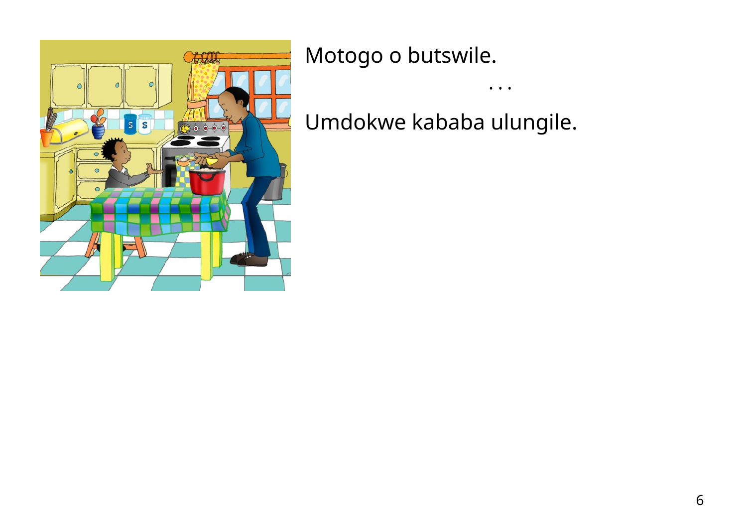

Motogo o butswile.

Umdokwe kababa ulungile.

 $\bullet\quadbullet\quad\bullet$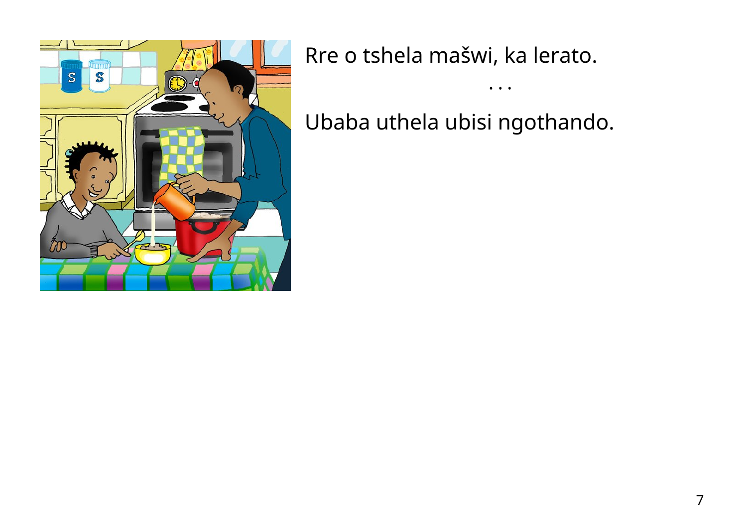

Rre o tshela mašwi, ka lerato.

Ubaba uthela ubisi ngothando.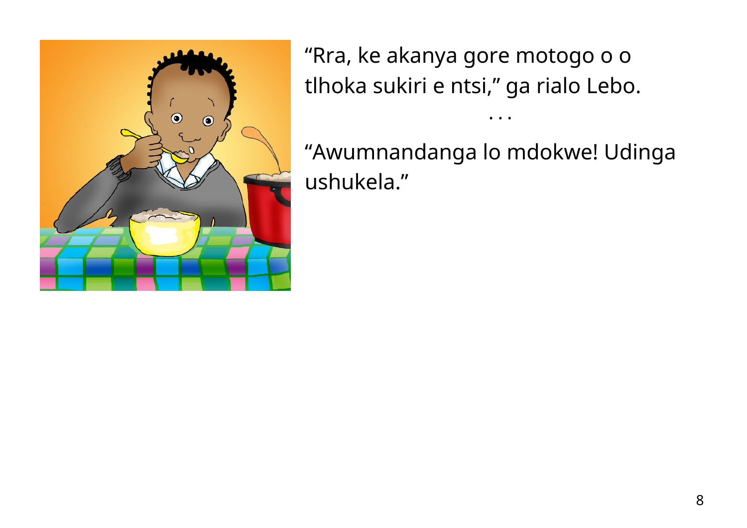

"Rra, ke akanya gore motogo o o tlhoka sukiri e ntsi," ga rialo Lebo.

"Awumnandanga lo mdokwe! Udinga ushukela."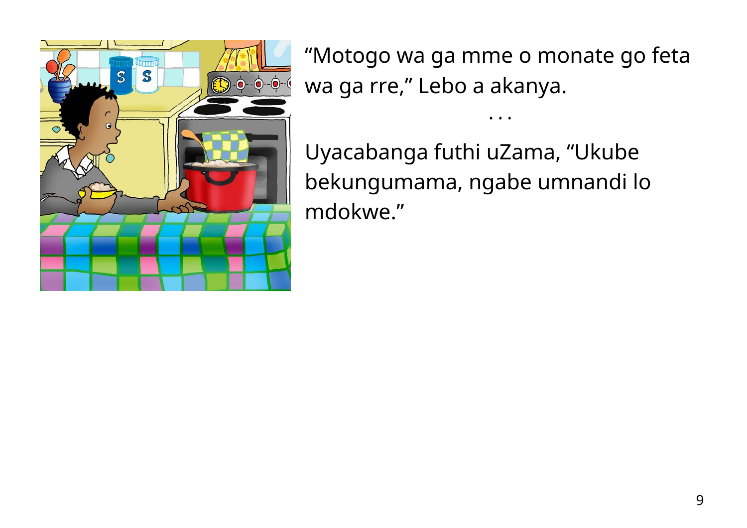

"Motogo wa ga mme o monate go feta wa ga rre, " Lebo a akanya.

• • •

Uyacabanga futhi uZama, "Ukube bekungumama, ngabe umnandi lo mdokwe."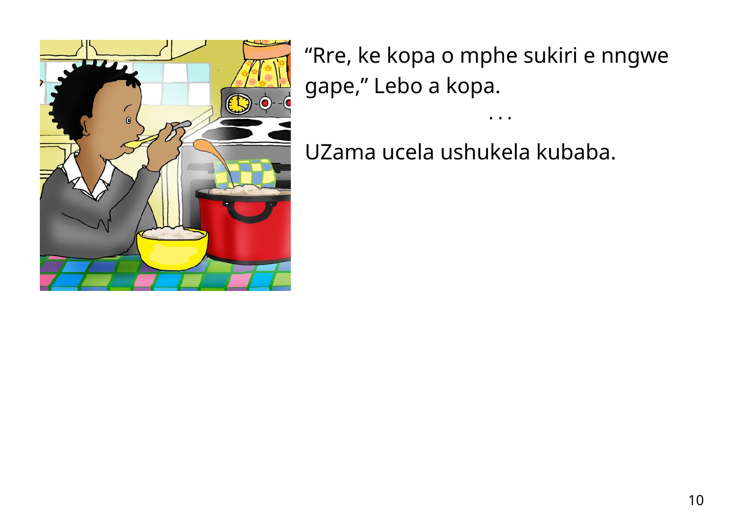

"Rre, ke kopa o mphe sukiri e nngwe gape, " Lebo a kopa.

• • •

UZama ucela ushukela kubaba.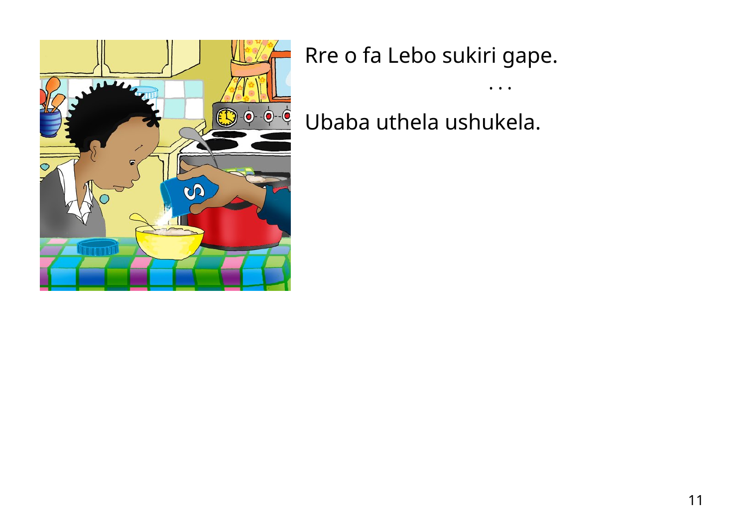

Rre o fa Lebo sukiri gape.

Ubaba uthela ushukela.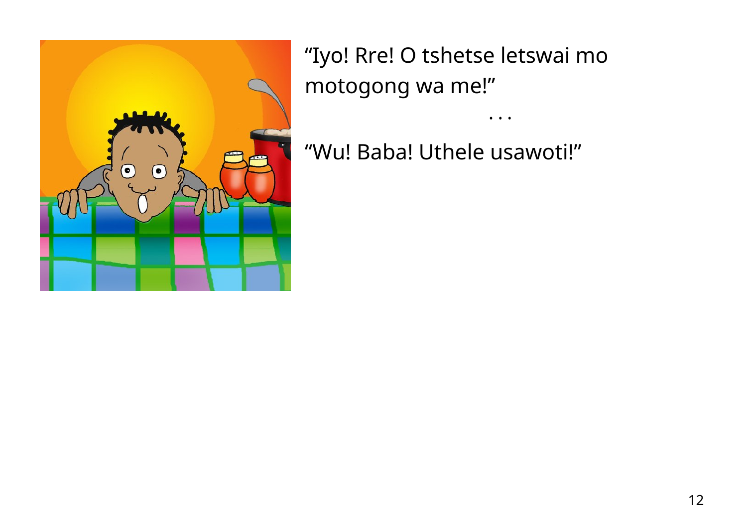

"Iyo! Rre! O tshetse letswai mo motogong wa me!"

"Wu! Baba! Uthele usawoti!"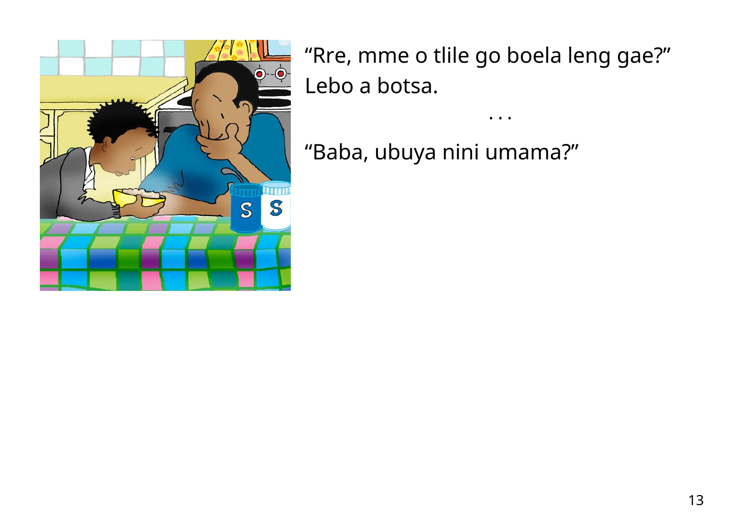

"Rre, mme o tlile go boela leng gae?" Lebo a botsa.

"Baba, ubuya nini umama?"